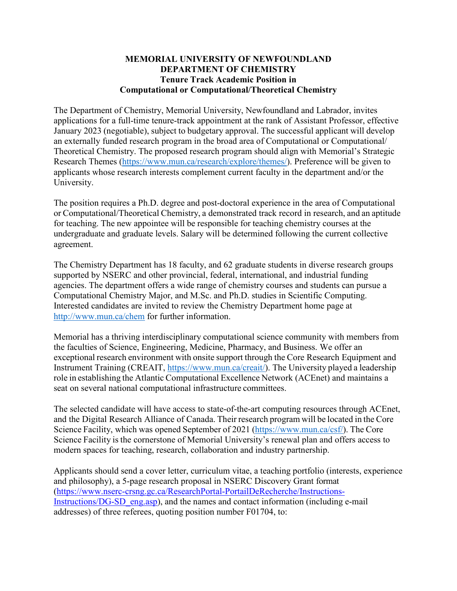## **MEMORIAL UNIVERSITY OF NEWFOUNDLAND DEPARTMENT OF CHEMISTRY Tenure Track Academic Position in Computational or Computational/Theoretical Chemistry**

The Department of Chemistry, Memorial University, Newfoundland and Labrador, invites applications for a full-time tenure-track appointment at the rank of Assistant Professor, effective January 2023 (negotiable), subject to budgetary approval. The successful applicant will develop an externally funded research program in the broad area of Computational or Computational/ Theoretical Chemistry. The proposed research program should align with Memorial's Strategic Research Themes [\(https://www.mun.ca/research/explore/themes/\).](http://www.mun.ca/research/framework/themes.php)) Preference will be given to applicants whose research interests complement current faculty in the department and/or the University.

The position requires a Ph.D. degree and post-doctoral experience in the area of Computational or Computational/Theoretical Chemistry, a demonstrated track record in research, and an aptitude for teaching. The new appointee will be responsible for teaching chemistry courses at the undergraduate and graduate levels. Salary will be determined following the current collective agreement.

The Chemistry Department has 18 faculty, and 62 graduate students in diverse research groups supported by NSERC and other provincial, federal, international, and industrial funding agencies. The department offers a wide range of chemistry courses and students can pursue a Computational Chemistry Major, and M.Sc. and Ph.D. studies in Scientific Computing. Interested candidates are invited to review the Chemistry Department home page at <http://www.mun.ca/chem> for further information.

Memorial has a thriving interdisciplinary computational science community with members from the faculties of Science, Engineering, Medicine, Pharmacy, and Business. We offer an exceptional research environment with onsite support through the Core Research Equipment and Instrument Training (CREAIT, [https://www.mun.ca/creait/\)](http://www.mun.ca/creait/)). The University played a leadership role in establishing the Atlantic Computational Excellence Network (ACEnet) and maintains a seat on several national computational infrastructure committees.

The selected candidate will have access to state-of-the-art computing resources through ACEnet, and the Digital Research Alliance of Canada. Their research program will be located in the Core Science Facility, which was opened September of 2021 [\(https://www.m](http://www.mun.ca/csf/))un.ca[/csf/\).](http://www.mun.ca/csf/)) The Core Science Facility is the cornerstone of Memorial University's renewal plan and offers access to modern spaces for teaching, research, collaboration and industry partnership.

Applicants should send a cover letter, curriculum vitae, a teaching portfolio (interests, experience and philosophy), a 5-page research proposal in NSERC Discovery Grant format [\(https://www.nserc-crsng.gc.ca/ResearchPortal-PortailDeRecherche/Instructions-](https://www.nserc-crsng.gc.ca/ResearchPortal-PortailDeRecherche/Instructions-Instructions/DG-SD_eng.asp)[Instructions/DG-SD\\_eng.asp\)](https://www.nserc-crsng.gc.ca/ResearchPortal-PortailDeRecherche/Instructions-Instructions/DG-SD_eng.asp), and the names and contact information (including e-mail addresses) of three referees, quoting position number F01704, to: